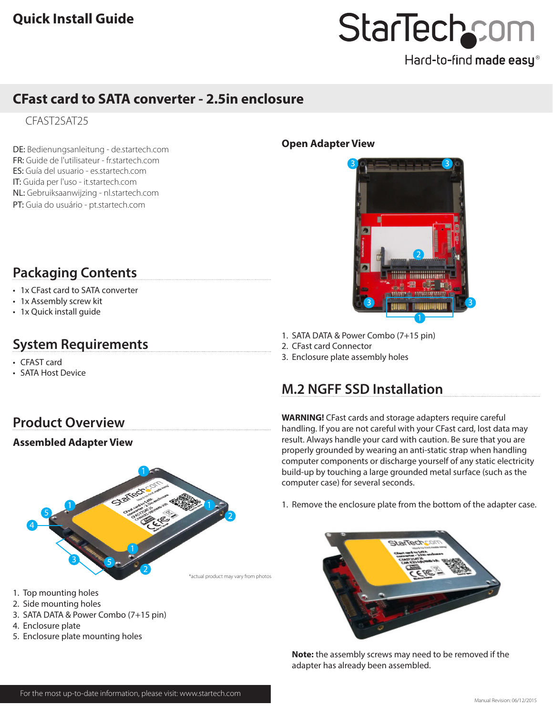# StarTechcom

Hard-to-find made easy®

## **CFast card to SATA converter - 2.5in enclosure**

CFAST2SAT25

DE: Bedienungsanleitung - de.startech.com FR: Guide de l'utilisateur - fr.startech.com ES: Guía del usuario - es.startech.com IT: Guida per l'uso - it.startech.com NL: Gebruiksaanwijzing - nl.startech.com PT: Guia do usuário - pt.startech.com

## **Packaging Contents**

- 1x CFast card to SATA converter
- 1x Assembly screw kit
- 1x Quick install guide

## **System Requirements**

- CFAST card
- SATA Host Device

# **Product Overview**

## **Assembled Adapter View**



- 1. Top mounting holes
- 2. Side mounting holes
- 3. SATA DATA & Power Combo (7+15 pin)
- 4. Enclosure plate
- 5. Enclosure plate mounting holes

## **Open Adapter View**



- 1. SATA DATA & Power Combo (7+15 pin)
- 2. CFast card Connector
- 3. Enclosure plate assembly holes

## **M.2 NGFF SSD Installation**

**WARNING!** CFast cards and storage adapters require careful handling. If you are not careful with your CFast card, lost data may result. Always handle your card with caution. Be sure that you are properly grounded by wearing an anti-static strap when handling computer components or discharge yourself of any static electricity build-up by touching a large grounded metal surface (such as the computer case) for several seconds.

1. Remove the enclosure plate from the bottom of the adapter case.



**Note:** the assembly screws may need to be removed if the adapter has already been assembled.